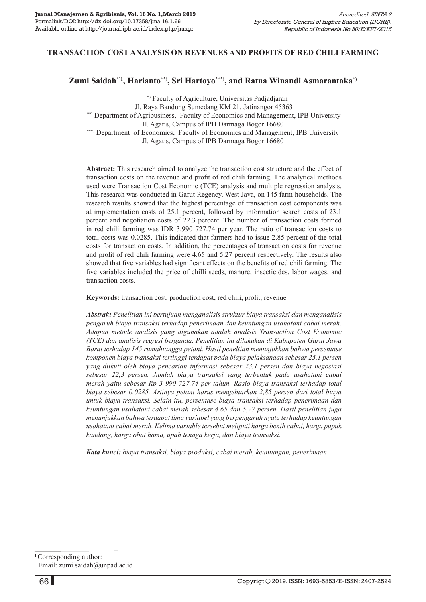## **TRANSACTION COST ANALYSIS ON REVENUES AND PROFITS OF RED CHILI FARMING**

#### **Zumi Saidah\*)1, Harianto\*\*), Sri Hartoyo\*\*\*), and Ratna Winandi Asmarantaka\*)**

 \*) Faculty of Agriculture, Universitas Padjadjaran Jl. Raya Bandung Sumedang KM 21, Jatinangor 45363 \*\*) Department of Agribusiness, Faculty of Economics and Management, IPB University Jl. Agatis, Campus of IPB Darmaga Bogor 16680 \*\*\*) Department of Economics, Faculty of Economics and Management, IPB University Jl. Agatis, Campus of IPB Darmaga Bogor 16680

**Abstract:** This research aimed to analyze the transaction cost structure and the effect of transaction costs on the revenue and profit of red chili farming. The analytical methods used were Transaction Cost Economic (TCE) analysis and multiple regression analysis. This research was conducted in Garut Regency, West Java, on 145 farm households. The research results showed that the highest percentage of transaction cost components was at implementation costs of 25.1 percent, followed by information search costs of 23.1 percent and negotiation costs of 22.3 percent. The number of transaction costs formed in red chili farming was IDR 3,990 727.74 per year. The ratio of transaction costs to total costs was 0.0285. This indicated that farmers had to issue 2.85 percent of the total costs for transaction costs. In addition, the percentages of transaction costs for revenue and profit of red chili farming were 4.65 and 5.27 percent respectively. The results also showed that five variables had significant effects on the benefits of red chili farming. The five variables included the price of chilli seeds, manure, insecticides, labor wages, and transaction costs.

**Keywords:** transaction cost, production cost, red chili, profit, revenue

*Abstrak: Penelitian ini bertujuan menganalisis struktur biaya transaksi dan menganalisis pengaruh biaya transaksi terhadap penerimaan dan keuntungan usahatani cabai merah. Adapun metode analisis yang digunakan adalah analisis Transaction Cost Economic (TCE) dan analisis regresi berganda. Penelitian ini dilakukan di Kabupaten Garut Jawa Barat terhadap 145 rumahtangga petani. Hasil peneltian menunjukkan bahwa persentase komponen biaya transaksi tertinggi terdapat pada biaya pelaksanaan sebesar 25,1 persen yang diikuti oleh biaya pencarian informasi sebesar 23,1 persen dan biaya negosiasi sebesar 22,3 persen. Jumlah biaya transaksi yang terbentuk pada usahatani cabai merah yaitu sebesar Rp 3 990 727.74 per tahun. Rasio biaya transaksi terhadap total biaya sebesar 0.0285. Artinya petani harus mengeluarkan 2,85 persen dari total biaya untuk biaya transaksi. Selain itu, persentase biaya transaksi terhadap penerimaan dan keuntungan usahatani cabai merah sebesar 4.65 dan 5,27 persen. Hasil penelitian juga menunjukkan bahwa terdapat lima variabel yang berpengaruh nyata terhadap keuntungan usahatani cabai merah. Kelima variable tersebut meliputi harga benih cabai, harga pupuk kandang, harga obat hama, upah tenaga kerja, dan biaya transaksi.*

*Kata kunci: biaya transaksi, biaya produksi, cabai merah, keuntungan, penerimaan*

**<sup>1</sup>**Corresponding author: Email: zumi.saidah@unpad.ac.id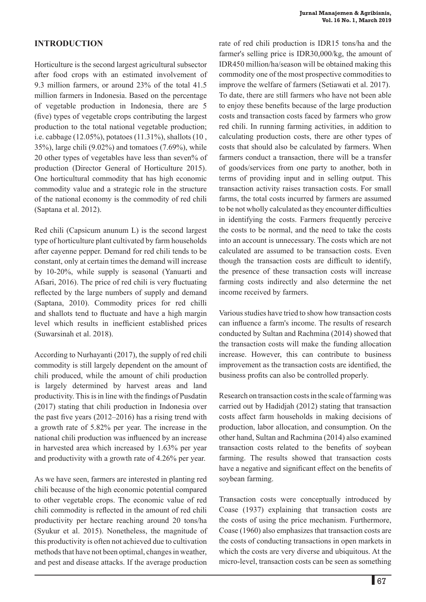## **Introduction**

Horticulture is the second largest agricultural subsector after food crops with an estimated involvement of 9.3 million farmers, or around 23% of the total 41.5 million farmers in Indonesia. Based on the percentage of vegetable production in Indonesia, there are 5 (five) types of vegetable crops contributing the largest production to the total national vegetable production; i.e. cabbage (12.05%), potatoes (11.31%), shallots (10 , 35%), large chili (9.02%) and tomatoes (7.69%), while 20 other types of vegetables have less than seven% of production (Director General of Horticulture 2015). One horticultural commodity that has high economic commodity value and a strategic role in the structure of the national economy is the commodity of red chili (Saptana et al. 2012).

Red chili (Capsicum anunum L) is the second largest type of horticulture plant cultivated by farm households after cayenne pepper. Demand for red chili tends to be constant, only at certain times the demand will increase by 10-20%, while supply is seasonal (Yanuarti and Afsari, 2016). The price of red chili is very fluctuating reflected by the large numbers of supply and demand (Saptana, 2010). Commodity prices for red chilli and shallots tend to fluctuate and have a high margin level which results in inefficient established prices (Suwarsinah et al. 2018).

According to Nurhayanti (2017), the supply of red chili commodity is still largely dependent on the amount of chili produced, while the amount of chili production is largely determined by harvest areas and land productivity. This is in line with the findings of Pusdatin (2017) stating that chili production in Indonesia over the past five years (2012–2016) has a rising trend with a growth rate of 5.82% per year. The increase in the national chili production was influenced by an increase in harvested area which increased by 1.63% per year and productivity with a growth rate of 4.26% per year.

As we have seen, farmers are interested in planting red chili because of the high economic potential compared to other vegetable crops. The economic value of red chili commodity is reflected in the amount of red chili productivity per hectare reaching around 20 tons/ha (Syukur et al. 2015). Nonetheless, the magnitude of this productivity is often not achieved due to cultivation methods that have not been optimal, changes in weather, and pest and disease attacks. If the average production

rate of red chili production is IDR15 tons/ha and the farmer's selling price is IDR30,000/kg, the amount of IDR450 million/ha/season will be obtained making this commodity one of the most prospective commodities to improve the welfare of farmers (Setiawati et al. 2017). To date, there are still farmers who have not been able to enjoy these benefits because of the large production costs and transaction costs faced by farmers who grow red chili. In running farming activities, in addition to calculating production costs, there are other types of costs that should also be calculated by farmers. When farmers conduct a transaction, there will be a transfer of goods/services from one party to another, both in terms of providing input and in selling output. This transaction activity raises transaction costs. For small farms, the total costs incurred by farmers are assumed to be not wholly calculated as they encounter difficulties in identifying the costs. Farmers frequently perceive the costs to be normal, and the need to take the costs into an account is unnecessary. The costs which are not calculated are assumed to be transaction costs. Even though the transaction costs are difficult to identify, the presence of these transaction costs will increase farming costs indirectly and also determine the net income received by farmers.

Various studies have tried to show how transaction costs can influence a farm's income. The results of research conducted by Sultan and Rachmina (2014) showed that the transaction costs will make the funding allocation increase. However, this can contribute to business improvement as the transaction costs are identified, the business profits can also be controlled properly.

Research on transaction costs in the scale of farming was carried out by Hadidjah (2012) stating that transaction costs affect farm households in making decisions of production, labor allocation, and consumption. On the other hand, Sultan and Rachmina (2014) also examined transaction costs related to the benefits of soybean farming. The results showed that transaction costs have a negative and significant effect on the benefits of soybean farming.

Transaction costs were conceptually introduced by Coase (1937) explaining that transaction costs are the costs of using the price mechanism. Furthermore, Coase (1960) also emphasizes that transaction costs are the costs of conducting transactions in open markets in which the costs are very diverse and ubiquitous. At the micro-level, transaction costs can be seen as something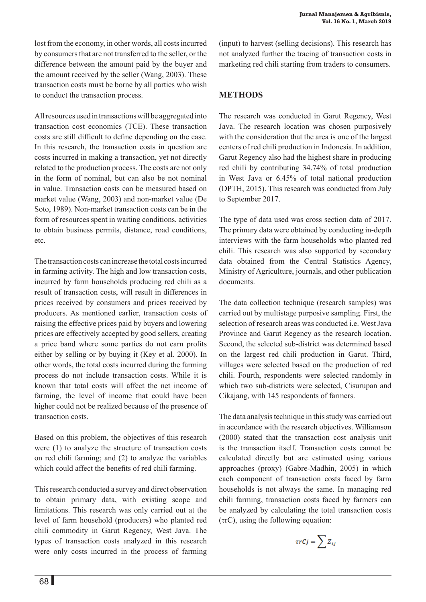All resources used in transactions will be aggregated into transaction cost economics (TCE). These transaction costs are still difficult to define depending on the case. In this research, the transaction costs in question are costs incurred in making a transaction, yet not directly related to the production process. The costs are not only in the form of nominal, but can also be not nominal in value. Transaction costs can be measured based on market value (Wang, 2003) and non-market value (De Soto, 1989). Non-market transaction costs can be in the form of resources spent in waiting conditions, activities to obtain business permits, distance, road conditions, etc.

The transaction costs can increase the total costs incurred in farming activity. The high and low transaction costs, incurred by farm households producing red chili as a result of transaction costs, will result in differences in prices received by consumers and prices received by producers. As mentioned earlier, transaction costs of raising the effective prices paid by buyers and lowering prices are effectively accepted by good sellers, creating a price band where some parties do not earn profits either by selling or by buying it (Key et al. 2000). In other words, the total costs incurred during the farming process do not include transaction costs. While it is known that total costs will affect the net income of farming, the level of income that could have been higher could not be realized because of the presence of transaction costs.

Based on this problem, the objectives of this research were (1) to analyze the structure of transaction costs on red chili farming; and (2) to analyze the variables which could affect the benefits of red chili farming.

This research conducted a survey and direct observation to obtain primary data, with existing scope and limitations. This research was only carried out at the level of farm household (producers) who planted red chili commodity in Garut Regency, West Java. The types of transaction costs analyzed in this research were only costs incurred in the process of farming (input) to harvest (selling decisions). This research has not analyzed further the tracing of transaction costs in marketing red chili starting from traders to consumers.

# **Methods**

The research was conducted in Garut Regency, West Java. The research location was chosen purposively with the consideration that the area is one of the largest centers of red chili production in Indonesia. In addition, Garut Regency also had the highest share in producing red chili by contributing 34.74% of total production in West Java or 6.45% of total national production (DPTH, 2015). This research was conducted from July to September 2017.

The type of data used was cross section data of 2017. The primary data were obtained by conducting in-depth interviews with the farm households who planted red chili. This research was also supported by secondary data obtained from the Central Statistics Agency, Ministry of Agriculture, journals, and other publication documents.

The data collection technique (research samples) was carried out by multistage purposive sampling. First, the selection of research areas was conducted i.e. West Java Province and Garut Regency as the research location. Second, the selected sub-district was determined based on the largest red chili production in Garut. Third, villages were selected based on the production of red chili. Fourth, respondents were selected randomly in which two sub-districts were selected, Cisurupan and Cikajang, with 145 respondents of farmers.

The data analysis technique in this study was carried out in accordance with the research objectives. Williamson (2000) stated that the transaction cost analysis unit is the transaction itself. Transaction costs cannot be calculated directly but are estimated using various approaches (proxy) (Gabre-Madhin, 2005) in which each component of transaction costs faced by farm households is not always the same. In managing red chili farming, transaction costs faced by farmers can be analyzed by calculating the total transaction costs (τrC), using the following equation:

$$
\tau rCj = \sum Z_{ij}
$$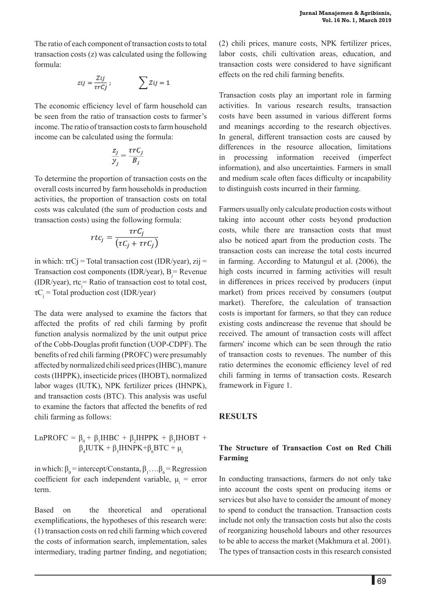The ratio of each component of transaction costs to total transaction costs (z) was calculated using the following formula:

$$
zij = \frac{Zij}{\tau rCj} \, ; \qquad \qquad \sum Zij = 1
$$

The economic efficiency level of farm household can be seen from the ratio of transaction costs to farmer's income. The ratio of transaction costs to farm household income can be calculated using the formula:

$$
\frac{z_j}{y_j} = \frac{\tau r C_j}{B_j}
$$

To determine the proportion of transaction costs on the overall costs incurred by farm households in production activities, the proportion of transaction costs on total costs was calculated (the sum of production costs and transaction costs) using the following formula:

$$
rtc_j = \frac{\tau rC_j}{(\tau C_j + \tau rC_j)}
$$

in which:  $\tau rC$ j = Total transaction cost (IDR/year), zij = Transaction cost components (IDR/year),  $B_j$  = Revenue (IDR/year),  $\text{rtc}_j = \text{Ratio of transaction cost to total cost}$ ,  $\tau C_j$  = Total production cost (IDR/year)

The data were analysed to examine the factors that affected the profits of red chili farming by profit function analysis normalized by the unit output price of the Cobb-Douglas profit function (UOP-CDPF). The benefits of red chili farming (PROFC) were presumably affected by normalized chili seed prices (IHBC), manure costs (IHPPK), insecticide prices (IHOBT), normalized labor wages (IUTK), NPK fertilizer prices (IHNPK), and transaction costs (BTC). This analysis was useful to examine the factors that affected the benefits of red chili farming as follows:

$$
LnPROFC = \beta_0 + \beta_1 HBC + \beta_2 HPPK + \beta_3 HODT + \beta_4 IUTK + \beta_5 HNPK + \beta_6 BTC + \mu_i
$$

in which:  $\beta_0$  = intercept/Constanta,  $\beta_1$ .... $\beta_6$  = Regression coefficient for each independent variable,  $\mu_i$  = error term.

Based on the theoretical and operational exemplifications, the hypotheses of this research were: (1) transaction costs on red chili farming which covered the costs of information search, implementation, sales intermediary, trading partner finding, and negotiation; (2) chili prices, manure costs, NPK fertilizer prices, labor costs, chili cultivation areas, education, and transaction costs were considered to have significant effects on the red chili farming benefits.

Transaction costs play an important role in farming activities. In various research results, transaction costs have been assumed in various different forms and meanings according to the research objectives. In general, different transaction costs are caused by differences in the resource allocation, limitations in processing information received (imperfect information), and also uncertainties. Farmers in small and medium scale often faces difficulty or incapability to distinguish costs incurred in their farming.

Farmers usually only calculate production costs without taking into account other costs beyond production costs, while there are transaction costs that must also be noticed apart from the production costs. The transaction costs can increase the total costs incurred in farming. According to Matungul et al. (2006), the high costs incurred in farming activities will result in differences in prices received by producers (input market) from prices received by consumers (output market). Therefore, the calculation of transaction costs is important for farmers, so that they can reduce existing costs andincrease the revenue that should be received. The amount of transaction costs will affect farmers' income which can be seen through the ratio of transaction costs to revenues. The number of this ratio determines the economic efficiency level of red chili farming in terms of transaction costs. Research framework in Figure 1.

## **Results**

## **The Structure of Transaction Cost on Red Chili Farming**

In conducting transactions, farmers do not only take into account the costs spent on producing items or services but also have to consider the amount of money to spend to conduct the transaction. Transaction costs include not only the transaction costs but also the costs of reorganizing household labours and other resources to be able to access the market (Makhmura et al. 2001). The types of transaction costs in this research consisted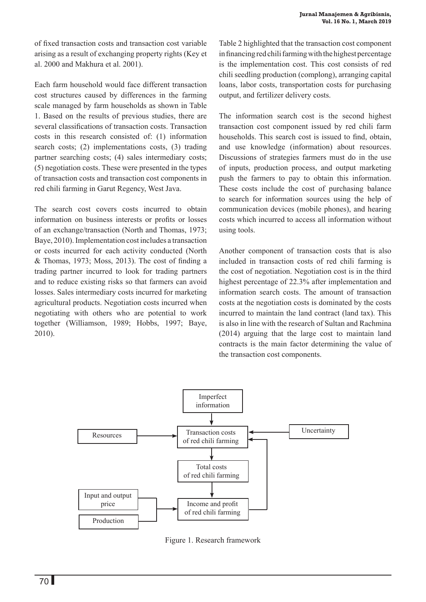of fixed transaction costs and transaction cost variable arising as a result of exchanging property rights (Key et al. 2000 and Makhura et al. 2001).

Each farm household would face different transaction cost structures caused by differences in the farming scale managed by farm households as shown in Table 1. Based on the results of previous studies, there are several classifications of transaction costs. Transaction costs in this research consisted of: (1) information search costs; (2) implementations costs, (3) trading partner searching costs; (4) sales intermediary costs; (5) negotiation costs. These were presented in the types of transaction costs and transaction cost components in red chili farming in Garut Regency, West Java.

The search cost covers costs incurred to obtain information on business interests or profits or losses of an exchange/transaction (North and Thomas, 1973; Baye, 2010). Implementation cost includes a transaction or costs incurred for each activity conducted (North & Thomas, 1973; Moss, 2013). The cost of finding a trading partner incurred to look for trading partners and to reduce existing risks so that farmers can avoid losses. Sales intermediary costs incurred for marketing agricultural products. Negotiation costs incurred when negotiating with others who are potential to work together (Williamson, 1989; Hobbs, 1997; Baye, 2010).

Table 2 highlighted that the transaction cost component in financing red chili farming with the highest percentage is the implementation cost. This cost consists of red chili seedling production (complong), arranging capital loans, labor costs, transportation costs for purchasing output, and fertilizer delivery costs.

The information search cost is the second highest transaction cost component issued by red chili farm households. This search cost is issued to find, obtain, and use knowledge (information) about resources. Discussions of strategies farmers must do in the use of inputs, production process, and output marketing push the farmers to pay to obtain this information. These costs include the cost of purchasing balance to search for information sources using the help of communication devices (mobile phones), and hearing costs which incurred to access all information without using tools.

Another component of transaction costs that is also included in transaction costs of red chili farming is the cost of negotiation. Negotiation cost is in the third highest percentage of 22.3% after implementation and information search costs. The amount of transaction costs at the negotiation costs is dominated by the costs incurred to maintain the land contract (land tax). This is also in line with the research of Sultan and Rachmina (2014) arguing that the large cost to maintain land contracts is the main factor determining the value of the transaction cost components.



Figure 1. Research framework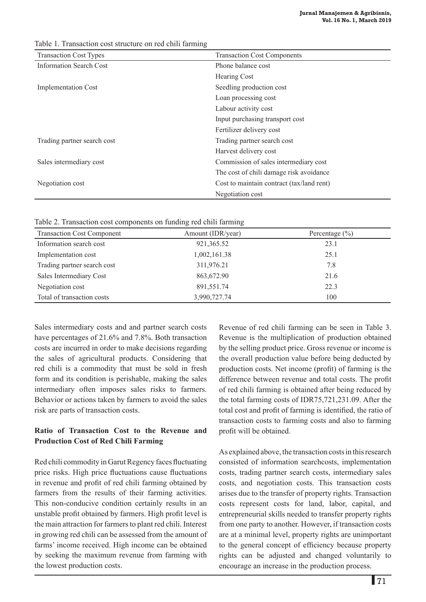Transaction Cost Types Transaction Cost Components Information Search Cost Phone balance cost Hearing Cost Implementation Cost Seedling production cost Loan processing cost Labour activity cost Input purchasing transport cost Fertilizer delivery cost Trading partner search cost Trading partner search cost Harvest delivery cost Sales intermediary cost Commission of sales intermediary cost The cost of chili damage risk avoidance Negotiation cost Cost to maintain contract (tax/land rent) Negotiation cost

Table 1. Transaction cost structure on red chili farming

Table 2. Transaction cost components on funding red chili farming

| <b>Transaction Cost Component</b> | Amount (IDR/year) | Percentage $(\% )$ |
|-----------------------------------|-------------------|--------------------|
| Information search cost           | 921,365.52        | 23.1               |
| Implementation cost               | 1,002,161.38      | 25.1               |
| Trading partner search cost       | 311,976.21        | 7.8                |
| Sales Intermediary Cost           | 863,672.90        | 21.6               |
| Negotiation cost                  | 891,551.74        | 22.3               |
| Total of transaction costs        | 3,990,727.74      | 100                |

Sales intermediary costs and and partner search costs have percentages of 21.6% and 7.8%. Both transaction costs are incurred in order to make decisions regarding the sales of agricultural products. Considering that red chili is a commodity that must be sold in fresh form and its condition is perishable, making the sales intermediary often imposes sales risks to farmers. Behavior or actions taken by farmers to avoid the sales risk are parts of transaction costs.

# **Ratio of Transaction Cost to the Revenue and Production Cost of Red Chili Farming**

Red chili commodity in Garut Regency faces fluctuating price risks. High price fluctuations cause fluctuations in revenue and profit of red chili farming obtained by farmers from the results of their farming activities. This non-conducive condition certainly results in an unstable profit obtained by farmers. High profit level is the main attraction for farmers to plant red chili. Interest in growing red chili can be assessed from the amount of farms' income received. High income can be obtained by seeking the maximum revenue from farming with the lowest production costs.

Revenue of red chili farming can be seen in Table 3. Revenue is the multiplication of production obtained by the selling product price. Gross revenue or income is the overall production value before being deducted by production costs. Net income (profit) of farming is the difference between revenue and total costs. The profit of red chili farming is obtained after being reduced by the total farming costs of IDR75,721,231.09. After the total cost and profit of farming is identified, the ratio of transaction costs to farming costs and also to farming profit will be obtained.

As explained above, the transaction costs in this research consisted of information searchcosts, implementation costs, trading partner search costs, intermediary sales costs, and negotiation costs. This transaction costs arises due to the transfer of property rights. Transaction costs represent costs for land, labor, capital, and entrepreneurial skills needed to transfer property rights from one party to another. However, if transaction costs are at a minimal level, property rights are unimportant to the general concept of efficiency because property rights can be adjusted and changed voluntarily to encourage an increase in the production process.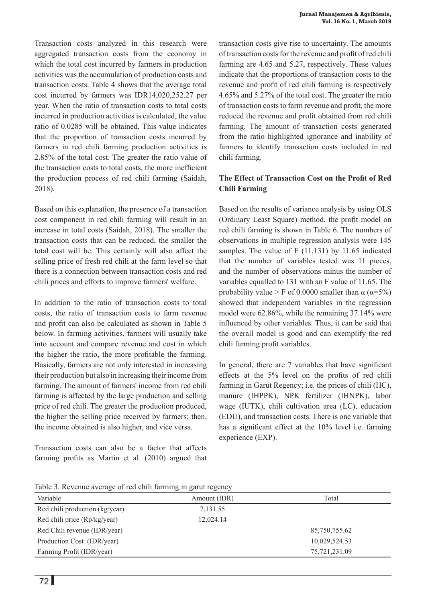Transaction costs analyzed in this research were aggregated transaction costs from the economy in which the total cost incurred by farmers in production activities was the accumulation of production costs and transaction costs. Table 4 shows that the average total cost incurred by farmers was IDR14,020,252.27 per year. When the ratio of transaction costs to total costs incurred in production activities is calculated, the value ratio of 0.0285 will be obtained. This value indicates that the proportion of transaction costs incurred by farmers in red chili farming production activities is 2.85% of the total cost. The greater the ratio value of the transaction costs to total costs, the more inefficient the production process of red chili farming (Saidah, 2018).

Based on this explanation, the presence of a transaction cost component in red chili farming will result in an increase in total costs (Saidah, 2018). The smaller the transaction costs that can be reduced, the smaller the total cost will be. This certainly will also affect the selling price of fresh red chili at the farm level so that there is a connection between transaction costs and red chili prices and efforts to improve farmers' welfare.

In addition to the ratio of transaction costs to total costs, the ratio of transaction costs to farm revenue and profit can also be calculated as shown in Table 5 below. In farming activities, farmers will usually take into account and compare revenue and cost in which the higher the ratio, the more profitable the farming. Basically, farmers are not only interested in increasing their production but also in increasing their income from farming. The amount of farmers' income from red chili farming is affected by the large production and selling price of red chili. The greater the production produced, the higher the selling price received by farmers; then, the income obtained is also higher, and vice versa.

Transaction costs can also be a factor that affects farming profits as Martin et al. (2010) argued that transaction costs give rise to uncertainty. The amounts of transaction costs for the revenue and profit of red chili farming are 4.65 and 5.27, respectively. These values indicate that the proportions of transaction costs to the revenue and profit of red chili farming is respectively 4.65% and 5.27% of the total cost. The greater the ratio of transaction costs to farm revenue and profit, the more reduced the revenue and profit obtained from red chili farming. The amount of transaction costs generated from the ratio highlighted ignorance and inability of farmers to identify transaction costs included in red chili farming.

## **The Effect of Transaction Cost on the Profit of Red Chili Farming**

Based on the results of variance analysis by using OLS (Ordinary Least Square) method, the profit model on red chili farming is shown in Table 6. The numbers of observations in multiple regression analysis were 145 samples. The value of F (11,131) by 11.65 indicated that the number of variables tested was 11 pieces, and the number of observations minus the number of variables equalled to 131 with an F value of 11.65. The probability value > F of 0.0000 smaller than  $\alpha$  ( $\alpha$ =5%) showed that independent variables in the regression model were 62.86%, while the remaining 37.14% were influenced by other variables. Thus, it can be said that the overall model is good and can exemplify the red chili farming profit variables.

In general, there are 7 variables that have significant effects at the 5% level on the profits of red chili farming in Garut Regency; i.e. the prices of chili (HC), manure (IHPPK), NPK fertilizer (IHNPK), labor wage (IUTK), chili cultivation area (LC), education (EDU), and transaction costs. There is one variable that has a significant effect at the 10% level i.e. farming experience (EXP).

Table 3. Revenue average of red chili farming in garut regency

| Tuble 5. Revenue avenue of feu enin naturity in garactegency |              |               |  |  |  |
|--------------------------------------------------------------|--------------|---------------|--|--|--|
| Variable                                                     | Amount (IDR) | Total         |  |  |  |
| Red chili production (kg/year)                               | 7,131.55     |               |  |  |  |
| Red chili price (Rp/kg/year)                                 | 12,024.14    |               |  |  |  |
| Red Chili revenue (IDR/year)                                 |              | 85,750,755.62 |  |  |  |
| Production Cost (IDR/year)                                   |              | 10,029,524.53 |  |  |  |
| Farming Profit (IDR/year)                                    |              | 75,721,231.09 |  |  |  |
|                                                              |              |               |  |  |  |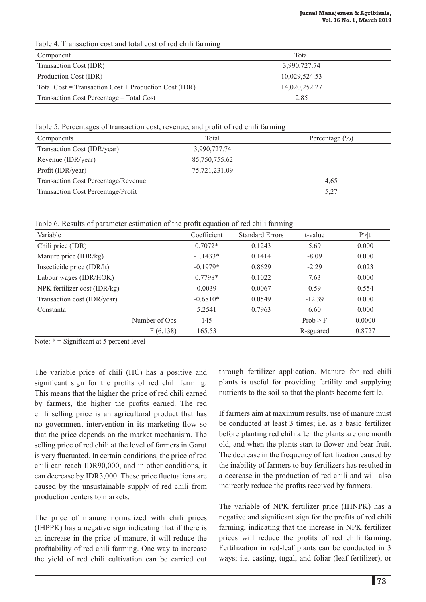Table 4. Transaction cost and total cost of red chili farming

| Component                                             | Total         |
|-------------------------------------------------------|---------------|
| Transaction Cost (IDR)                                | 3,990,727.74  |
| Production Cost (IDR)                                 | 10,029,524.53 |
| Total Cost = Transaction Cost + Production Cost (IDR) | 14,020,252.27 |
| Transaction Cost Percentage - Total Cost              | 2.85          |

Table 5. Percentages of transaction cost, revenue, and profit of red chili farming

| Components                                 | Total         | Percentage $(\% )$ |  |
|--------------------------------------------|---------------|--------------------|--|
| Transaction Cost (IDR/year)                | 3,990,727.74  |                    |  |
| Revenue (IDR/year)                         | 85,750,755.62 |                    |  |
| Profit (IDR/year)                          | 75,721,231.09 |                    |  |
| <b>Transaction Cost Percentage/Revenue</b> |               | 4.65               |  |
| Transaction Cost Percentage/Profit         |               | 5,27               |  |

Table 6. Results of parameter estimation of the profit equation of red chili farming

| Variable                     |                | Coefficient | <b>Standard Errors</b> | t-value   | P >  t |
|------------------------------|----------------|-------------|------------------------|-----------|--------|
| Chili price (IDR)            |                | $0.7072*$   | 0.1243                 | 5.69      | 0.000  |
| Manure price (IDR/kg)        |                | $-1.1433*$  | 0.1414                 | $-8.09$   | 0.000  |
| Insecticide price (IDR/lt)   |                | $-0.1979*$  | 0.8629                 | $-2.29$   | 0.023  |
| Labour wages (IDR/HOK)       |                | $0.7798*$   | 0.1022                 | 7.63      | 0.000  |
| NPK fertilizer cost (IDR/kg) |                | 0.0039      | 0.0067                 | 0.59      | 0.554  |
| Transaction cost (IDR/year)  |                | $-0.6810*$  | 0.0549                 | $-12.39$  | 0.000  |
| Constanta                    |                | 5.2541      | 0.7963                 | 6.60      | 0.000  |
|                              | Number of Obs. | 145         |                        | Prob > F  | 0.0000 |
|                              | F(6,138)       | 165.53      |                        | R-sguared | 0.8727 |

Note:  $* =$  Significant at 5 percent level

The variable price of chili (HC) has a positive and significant sign for the profits of red chili farming. This means that the higher the price of red chili earned by farmers, the higher the profits earned. The red chili selling price is an agricultural product that has no government intervention in its marketing flow so that the price depends on the market mechanism. The selling price of red chili at the level of farmers in Garut is very fluctuated. In certain conditions, the price of red chili can reach IDR90,000, and in other conditions, it can decrease by IDR3,000. These price fluctuations are caused by the unsustainable supply of red chili from production centers to markets.

The price of manure normalized with chili prices (IHPPK) has a negative sign indicating that if there is an increase in the price of manure, it will reduce the profitability of red chili farming. One way to increase the yield of red chili cultivation can be carried out through fertilizer application. Manure for red chili plants is useful for providing fertility and supplying nutrients to the soil so that the plants become fertile.

If farmers aim at maximum results, use of manure must be conducted at least 3 times; i.e. as a basic fertilizer before planting red chili after the plants are one month old, and when the plants start to flower and bear fruit. The decrease in the frequency of fertilization caused by the inability of farmers to buy fertilizers has resulted in a decrease in the production of red chili and will also indirectly reduce the profits received by farmers.

The variable of NPK fertilizer price (IHNPK) has a negative and significant sign for the profits of red chili farming, indicating that the increase in NPK fertilizer prices will reduce the profits of red chili farming. Fertilization in red-leaf plants can be conducted in 3 ways; i.e. casting, tugal, and foliar (leaf fertilizer), or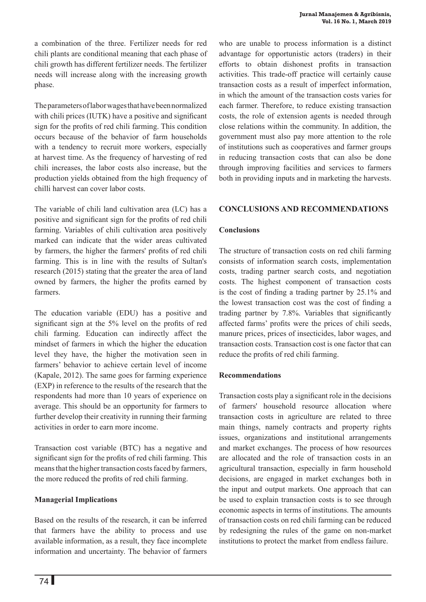a combination of the three. Fertilizer needs for red chili plants are conditional meaning that each phase of chili growth has different fertilizer needs. The fertilizer needs will increase along with the increasing growth phase.

The parameters of labor wages that have been normalized with chili prices (IUTK) have a positive and significant sign for the profits of red chili farming. This condition occurs because of the behavior of farm households with a tendency to recruit more workers, especially at harvest time. As the frequency of harvesting of red chili increases, the labor costs also increase, but the production yields obtained from the high frequency of chilli harvest can cover labor costs.

The variable of chili land cultivation area (LC) has a positive and significant sign for the profits of red chili farming. Variables of chili cultivation area positively marked can indicate that the wider areas cultivated by farmers, the higher the farmers' profits of red chili farming. This is in line with the results of Sultan's research (2015) stating that the greater the area of land owned by farmers, the higher the profits earned by farmers.

The education variable (EDU) has a positive and significant sign at the 5% level on the profits of red chili farming. Education can indirectly affect the mindset of farmers in which the higher the education level they have, the higher the motivation seen in farmers' behavior to achieve certain level of income (Kapale, 2012). The same goes for farming experience (EXP) in reference to the results of the research that the respondents had more than 10 years of experience on average. This should be an opportunity for farmers to further develop their creativity in running their farming activities in order to earn more income.

Transaction cost variable (BTC) has a negative and significant sign for the profits of red chili farming. This means that the higher transaction costs faced by farmers, the more reduced the profits of red chili farming.

## **Managerial Implications**

Based on the results of the research, it can be inferred that farmers have the ability to process and use available information, as a result, they face incomplete information and uncertainty. The behavior of farmers

who are unable to process information is a distinct advantage for opportunistic actors (traders) in their efforts to obtain dishonest profits in transaction activities. This trade-off practice will certainly cause transaction costs as a result of imperfect information, in which the amount of the transaction costs varies for each farmer. Therefore, to reduce existing transaction costs, the role of extension agents is needed through close relations within the community. In addition, the government must also pay more attention to the role of institutions such as cooperatives and farmer groups in reducing transaction costs that can also be done through improving facilities and services to farmers both in providing inputs and in marketing the harvests.

## **CONCLUSIONS AND RECOMMENDATIONS**

## **Conclusions**

The structure of transaction costs on red chili farming consists of information search costs, implementation costs, trading partner search costs, and negotiation costs. The highest component of transaction costs is the cost of finding a trading partner by 25.1% and the lowest transaction cost was the cost of finding a trading partner by 7.8%. Variables that significantly affected farms' profits were the prices of chili seeds, manure prices, prices of insecticides, labor wages, and transaction costs. Transaction cost is one factor that can reduce the profits of red chili farming.

## **Recommendations**

Transaction costs play a significant role in the decisions of farmers' household resource allocation where transaction costs in agriculture are related to three main things, namely contracts and property rights issues, organizations and institutional arrangements and market exchanges. The process of how resources are allocated and the role of transaction costs in an agricultural transaction, especially in farm household decisions, are engaged in market exchanges both in the input and output markets. One approach that can be used to explain transaction costs is to see through economic aspects in terms of institutions. The amounts of transaction costs on red chili farming can be reduced by redesigning the rules of the game on non-market institutions to protect the market from endless failure.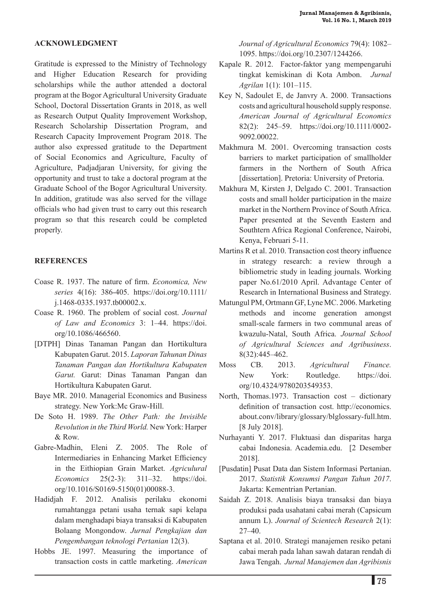#### **ACKNOWLEDGMENT**

Gratitude is expressed to the Ministry of Technology and Higher Education Research for providing scholarships while the author attended a doctoral program at the Bogor Agricultural University Graduate School, Doctoral Dissertation Grants in 2018, as well as Research Output Quality Improvement Workshop, Research Scholarship Dissertation Program, and Research Capacity Improvement Program 2018. The author also expressed gratitude to the Department of Social Economics and Agriculture, Faculty of Agriculture, Padjadjaran University, for giving the opportunity and trust to take a doctoral program at the Graduate School of the Bogor Agricultural University. In addition, gratitude was also served for the village officials who had given trust to carry out this research program so that this research could be completed properly.

#### **References**

- Coase R. 1937. The nature of firm. *Economica, New series* 4(16): 386-405. https://doi.org/10.1111/ j.1468-0335.1937.tb00002.x.
- Coase R. 1960. The problem of social cost. *Journal of Law and Economics* 3: 1–44. https://doi. org/10.1086/466560.
- [DTPH] Dinas Tanaman Pangan dan Hortikultura Kabupaten Garut. 2015. *Laporan Tahunan Dinas Tanaman Pangan dan Hortikultura Kabupaten Garut.* Garut: Dinas Tanaman Pangan dan Hortikultura Kabupaten Garut.
- Baye MR. 2010. Managerial Economics and Business strategy. New York:Mc Graw-Hill.
- De Soto H. 1989. *The Other Path: the Invisible Revolution in the Third World.* New York: Harper & Row.
- Gabre-Madhin, Eleni Z. 2005. The Role of Intermediaries in Enhancing Market Efficiency in the Eithiopian Grain Market. *Agriculural Economics* 25(2-3): 311–32. https://doi. org/10.1016/S0169-5150(01)00088-3.
- Hadidjah F. 2012. Analisis perilaku ekonomi rumahtangga petani usaha ternak sapi kelapa dalam menghadapi biaya transaksi di Kabupaten Bolaang Mongondow. *Jurnal Pengkajian dan Pengembangan teknologi Pertanian* 12(3).
- Hobbs JE. 1997. Measuring the importance of transaction costs in cattle marketing. *American*

*Journal of Agricultural Economics* 79(4): 1082– 1095. https://doi.org/10.2307/1244266.

- Kapale R. 2012. Factor-faktor yang mempengaruhi tingkat kemiskinan di Kota Ambon. *Jurnal Agrilan* 1(1): 101–115.
- Key N, Sadoulet E, de Janvry A. 2000. Transactions costs and agricultural household supply response. *American Journal of Agricultural Economics*  82(2): 245–59. https://doi.org/10.1111/0002- 9092.00022.
- Makhmura M. 2001. Overcoming transaction costs barriers to market participation of smallholder farmers in the Northern of South Africa [dissertation]. Pretoria: University of Pretoria.
- Makhura M, Kirsten J, Delgado C. 2001. Transaction costs and small holder participation in the maize market in the Northern Province of South Africa. Paper presented at the Seventh Eastern and Southtern Africa Regional Conference, Nairobi, Kenya, Februari 5-11.
- Martins R et al. 2010. Transaction cost theory influence in strategy research: a review through a bibliometric study in leading journals. Working paper No.61/2010 April. Advantage Center of Research in International Business and Strategy.
- Matungul PM, Ortmann GF, Lyne MC. 2006. Marketing methods and income generation amongst small-scale farmers in two communal areas of kwazulu-Natal, South Africa. *Journal School of Agricultural Sciences and Agribusiness*. 8(32):445–462.
- Moss CB. 2013. *Agricultural Finance.* New York: Routledge. https://doi. org/10.4324/9780203549353.
- North, Thomas.1973. Transaction cost dictionary definition of transaction cost. http://economics. about.conv/library/glossary/blglossary-full.htm. [8 July 2018].
- Nurhayanti Y. 2017. Fluktuasi dan disparitas harga cabai Indonesia. Academia.edu. [2 Desember 2018].
- [Pusdatin] Pusat Data dan Sistem Informasi Pertanian. 2017. *Statistik Konsumsi Pangan Tahun 2017*. Jakarta: Kementrian Pertanian.
- Saidah Z. 2018. Analisis biaya transaksi dan biaya produksi pada usahatani cabai merah (Capsicum annum L). *Journal of Scientech Research* 2(1):  $27-40$ .
- Saptana et al. 2010. Strategi manajemen resiko petani cabai merah pada lahan sawah dataran rendah di Jawa Tengah. *Jurnal Manajemen dan Agribisnis*